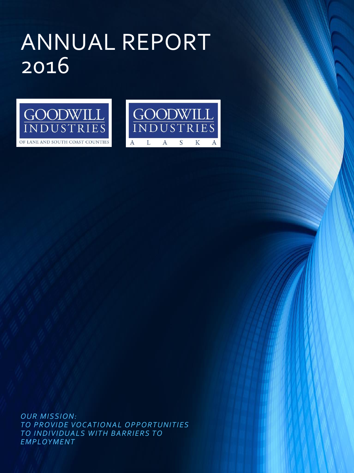# ANNUAL REPORT 2016





*OUR MISSION: TO PROVIDE VOCATIONAL OPPORTUNITIES*  **TO INDIVIDUALS WITH BARRIERS TO** *EMPLOYMENT*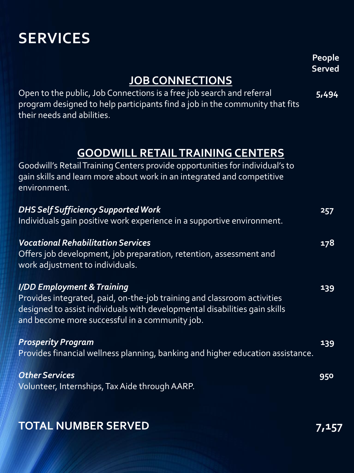### **SERVICES**

|                                                                                                                                                                                                                                       | People<br><b>Served</b> |
|---------------------------------------------------------------------------------------------------------------------------------------------------------------------------------------------------------------------------------------|-------------------------|
| <b>JOB CONNECTIONS</b>                                                                                                                                                                                                                |                         |
| Open to the public, Job Connections is a free job search and referral<br>program designed to help participants find a job in the community that fits<br>their needs and abilities.                                                    | 5,494                   |
|                                                                                                                                                                                                                                       |                         |
| <b>GOODWILL RETAIL TRAINING CENTERS</b><br>Goodwill's Retail Training Centers provide opportunities for individual's to<br>gain skills and learn more about work in an integrated and competitive<br>environment.                     |                         |
| <b>DHS Self Sufficiency Supported Work</b><br>Individuals gain positive work experience in a supportive environment.                                                                                                                  | 257                     |
| <b>Vocational Rehabilitation Services</b><br>Offers job development, job preparation, retention, assessment and<br>work adjustment to individuals.                                                                                    | 178                     |
| I/DD Employment & Training<br>Provides integrated, paid, on-the-job training and classroom activities<br>designed to assist individuals with developmental disabilities gain skills<br>and become more successful in a community job. | 139                     |
| <b>Prosperity Program</b><br>Provides financial wellness planning, banking and higher education assistance.                                                                                                                           | 139                     |
| <b>Other Services</b><br>Volunteer, Internships, Tax Aide through AARP.                                                                                                                                                               | 950                     |

#### **TOTAL NUMBER SERVED** 7,157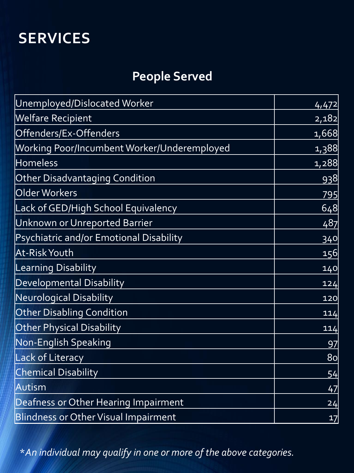### **SERVICES**

### **People Served**

| Unemployed/Dislocated Worker                | 4,472          |
|---------------------------------------------|----------------|
| <b>Welfare Recipient</b>                    | 2,182          |
| Offenders/Ex-Offenders                      | 1,668          |
| Working Poor/Incumbent Worker/Underemployed | 1,388          |
| <b>Homeless</b>                             | 1,288          |
| <b>Other Disadvantaging Condition</b>       | <u>938</u>     |
| Older Workers                               | 795            |
| Lack of GED/High School Equivalency         | 648            |
| Unknown or Unreported Barrier               | 487            |
| Psychiatric and/or Emotional Disability     | 340            |
| At-Risk Youth                               | 156            |
| <b>Learning Disability</b>                  | 140            |
| Developmental Disability                    | 124            |
| Neurological Disability                     | 120            |
| <b>Other Disabling Condition</b>            | 114            |
| <b>Other Physical Disability</b>            | 114            |
| <b>Non-English Speaking</b>                 | 97             |
| <b>Lack of Literacy</b>                     | 8 <sub>o</sub> |
| <b>Chemical Disability</b>                  | 54             |
| Autism                                      | 47             |
| Deafness or Other Hearing Impairment        | 24             |
| <b>Blindness or Other Visual Impairment</b> | 17             |

\**An individual may qualify in one or more of the above categories.*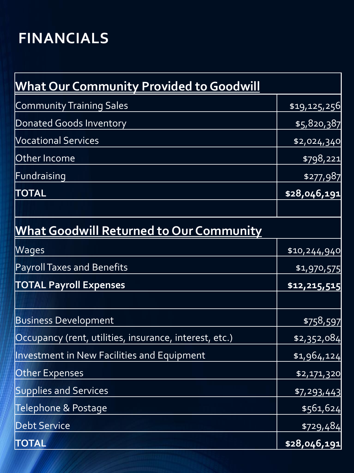## **FINANCIALS**

| <u>What Our Community Provided to Goodwill</u>         |                       |
|--------------------------------------------------------|-----------------------|
| Community Training Sales                               | \$19,125,256          |
| Donated Goods Inventory                                | \$5,820,387           |
| <b>Vocational Services</b>                             | \$2,024,340           |
| Other Income                                           | \$798,221             |
| Fundraising                                            | \$277,987             |
| <b>TOTAL</b>                                           | \$28,046,191          |
|                                                        |                       |
| <b>What Goodwill Returned to Our Community</b>         |                       |
| Wages                                                  | \$10,244,940          |
| <b>Payroll Taxes and Benefits</b>                      | \$1,970,575           |
| <b>TOTAL Payroll Expenses</b>                          | \$12,215,515          |
| <b>Business Development</b>                            | \$758,597             |
| Occupancy (rent, utilities, insurance, interest, etc.) | \$2,352,084           |
| Investment in New Facilities and Equipment             | \$1,964,124           |
| Other Expenses                                         | \$2,171,320           |
| <b>Supplies and Services</b>                           | \$7,293,443           |
| Telephone & Postage                                    | \$561,624             |
| <b>Debt Service</b>                                    | $\overline{$}729,484$ |
| <b>TOTAL</b>                                           | \$28,046,191          |